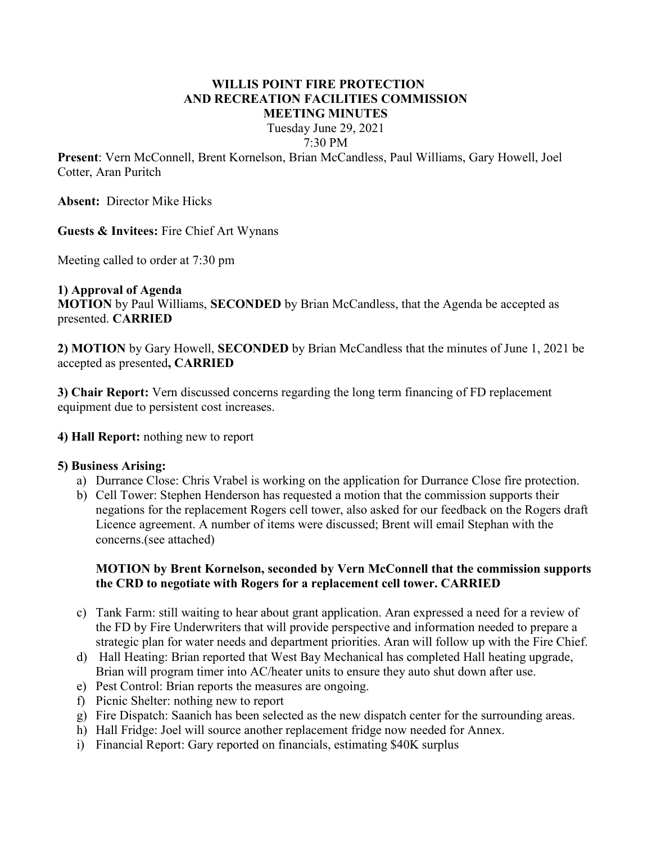#### WILLIS POINT FIRE PROTECTION AND RECREATION FACILITIES COMMISSION MEETING MINUTES

Tuesday June 29, 2021 7:30 PM

Present: Vern McConnell, Brent Kornelson, Brian McCandless, Paul Williams, Gary Howell, Joel Cotter, Aran Puritch

Absent: Director Mike Hicks

## Guests & Invitees: Fire Chief Art Wynans

Meeting called to order at 7:30 pm

# 1) Approval of Agenda

MOTION by Paul Williams, SECONDED by Brian McCandless, that the Agenda be accepted as presented. CARRIED

2) MOTION by Gary Howell, SECONDED by Brian McCandless that the minutes of June 1, 2021 be accepted as presented, CARRIED

3) Chair Report: Vern discussed concerns regarding the long term financing of FD replacement equipment due to persistent cost increases.

#### 4) Hall Report: nothing new to report

#### 5) Business Arising:

- a) Durrance Close: Chris Vrabel is working on the application for Durrance Close fire protection.
- b) Cell Tower: Stephen Henderson has requested a motion that the commission supports their negations for the replacement Rogers cell tower, also asked for our feedback on the Rogers draft Licence agreement. A number of items were discussed; Brent will email Stephan with the concerns.(see attached)

## MOTION by Brent Kornelson, seconded by Vern McConnell that the commission supports the CRD to negotiate with Rogers for a replacement cell tower. CARRIED

- c) Tank Farm: still waiting to hear about grant application. Aran expressed a need for a review of the FD by Fire Underwriters that will provide perspective and information needed to prepare a strategic plan for water needs and department priorities. Aran will follow up with the Fire Chief.
- d) Hall Heating: Brian reported that West Bay Mechanical has completed Hall heating upgrade, Brian will program timer into AC/heater units to ensure they auto shut down after use.
- e) Pest Control: Brian reports the measures are ongoing.
- f) Picnic Shelter: nothing new to report
- g) Fire Dispatch: Saanich has been selected as the new dispatch center for the surrounding areas.
- h) Hall Fridge: Joel will source another replacement fridge now needed for Annex.
- i) Financial Report: Gary reported on financials, estimating \$40K surplus